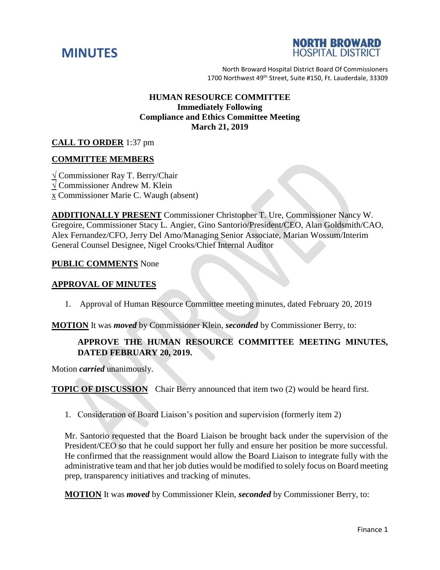



North Broward Hospital District Board Of Commissioners 1700 Northwest 49<sup>th</sup> Street, Suite #150, Ft. Lauderdale, 33309

## **HUMAN RESOURCE COMMITTEE Immediately Following Compliance and Ethics Committee Meeting March 21, 2019**

## **CALL TO ORDER** 1:37 pm

### **COMMITTEE MEMBERS**

**√** Commissioner Ray T. Berry/Chair **√** Commissioner Andrew M. Klein x Commissioner Marie C. Waugh (absent)

**ADDITIONALLY PRESENT** Commissioner Christopher T. Ure, Commissioner Nancy W. Gregoire, Commissioner Stacy L. Angier, Gino Santorio/President/CEO, Alan Goldsmith/CAO, Alex Fernandez/CFO, Jerry Del Amo/Managing Senior Associate, Marian Wossum/Interim General Counsel Designee, Nigel Crooks/Chief Internal Auditor

#### **PUBLIC COMMENTS** None

#### **APPROVAL OF MINUTES**

1. Approval of Human Resource Committee meeting minutes, dated February 20, 2019

**MOTION** It was *moved* by Commissioner Klein, *seconded* by Commissioner Berry, to:

### **APPROVE THE HUMAN RESOURCE COMMITTEE MEETING MINUTES, DATED FEBRUARY 20, 2019.**

Motion *carried* unanimously.

**TOPIC OF DISCUSSION** Chair Berry announced that item two (2) would be heard first.

1. Consideration of Board Liaison's position and supervision (formerly item 2)

Mr. Santorio requested that the Board Liaison be brought back under the supervision of the President/CEO so that he could support her fully and ensure her position be more successful. He confirmed that the reassignment would allow the Board Liaison to integrate fully with the administrative team and that her job duties would be modified to solely focus on Board meeting prep, transparency initiatives and tracking of minutes.

**MOTION** It was *moved* by Commissioner Klein, *seconded* by Commissioner Berry, to: